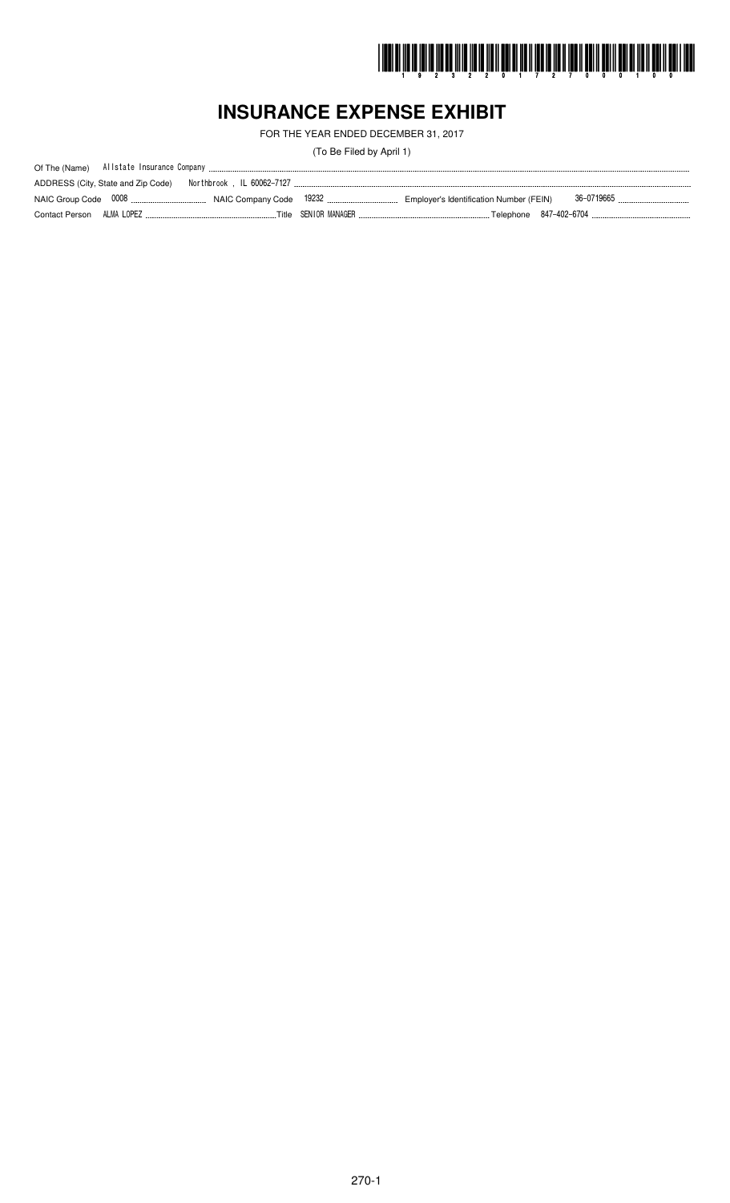

# **INSURANCE EXPENSE EXHIBIT**

FOR THE YEAR ENDED DECEMBER 31, 2017

(To Be Filed by April 1)

| ADDRESS (City, State and Zip Code) |  |                                                                                                                              |
|------------------------------------|--|------------------------------------------------------------------------------------------------------------------------------|
|                                    |  |                                                                                                                              |
|                                    |  | Contact Person ALMA LOPEZ …………………………………………………Title SENIOR MANAGER …………………………………………………Telephone 847-402-6704 ………………………………………… |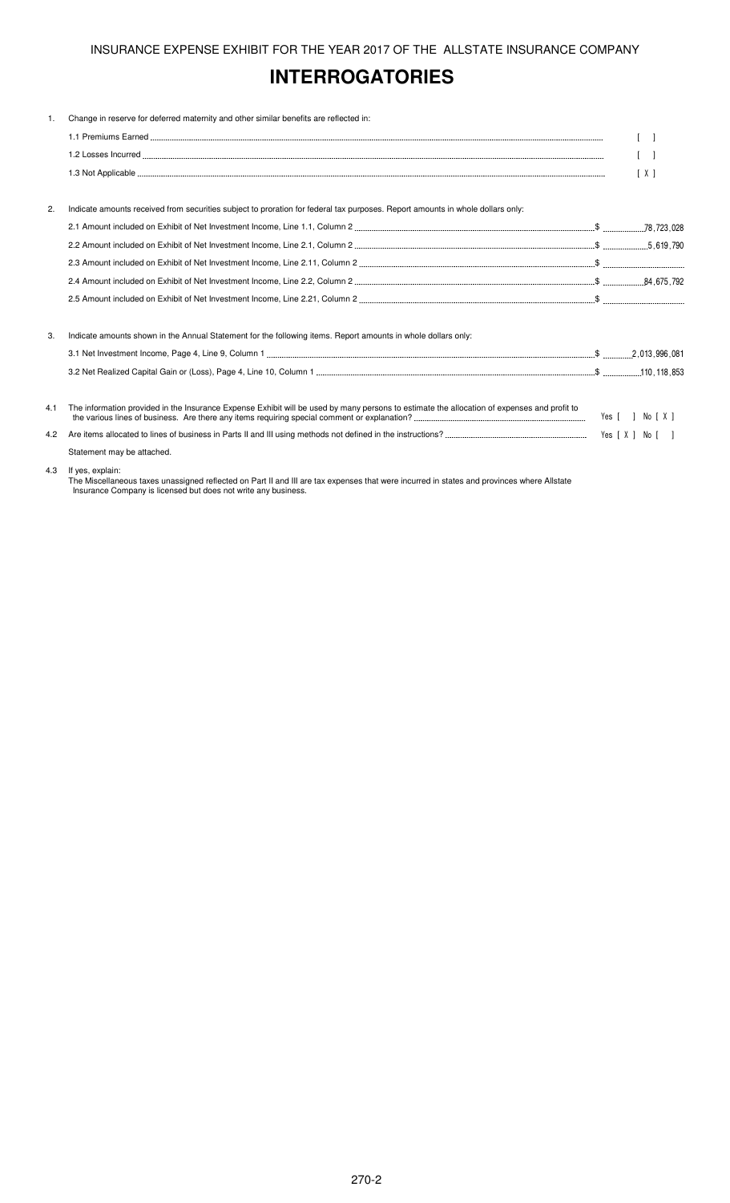# **INTERROGATORIES**

| 1.  | Change in reserve for deferred maternity and other similar benefits are reflected in:                                                       |                  |
|-----|---------------------------------------------------------------------------------------------------------------------------------------------|------------------|
|     |                                                                                                                                             |                  |
|     |                                                                                                                                             |                  |
|     |                                                                                                                                             | [X]              |
| 2.  | Indicate amounts received from securities subject to proration for federal tax purposes. Report amounts in whole dollars only:              |                  |
|     |                                                                                                                                             |                  |
|     |                                                                                                                                             |                  |
|     |                                                                                                                                             |                  |
|     |                                                                                                                                             |                  |
|     |                                                                                                                                             |                  |
| 3.  | Indicate amounts shown in the Annual Statement for the following items. Report amounts in whole dollars only:                               |                  |
|     |                                                                                                                                             |                  |
|     |                                                                                                                                             |                  |
| 4.1 | The information provided in the Insurance Expense Exhibit will be used by many persons to estimate the allocation of expenses and profit to | Yes [ ] No [ X ] |
| 4.2 |                                                                                                                                             |                  |
|     | Statement may be attached.                                                                                                                  |                  |
| 4.3 | If yes, explain:                                                                                                                            |                  |

The Miscellaneous taxes unassigned reflected on Part II and III are tax expenses that were incurred in states and provinces where Allstate Insurance Company is licensed but does not write any business.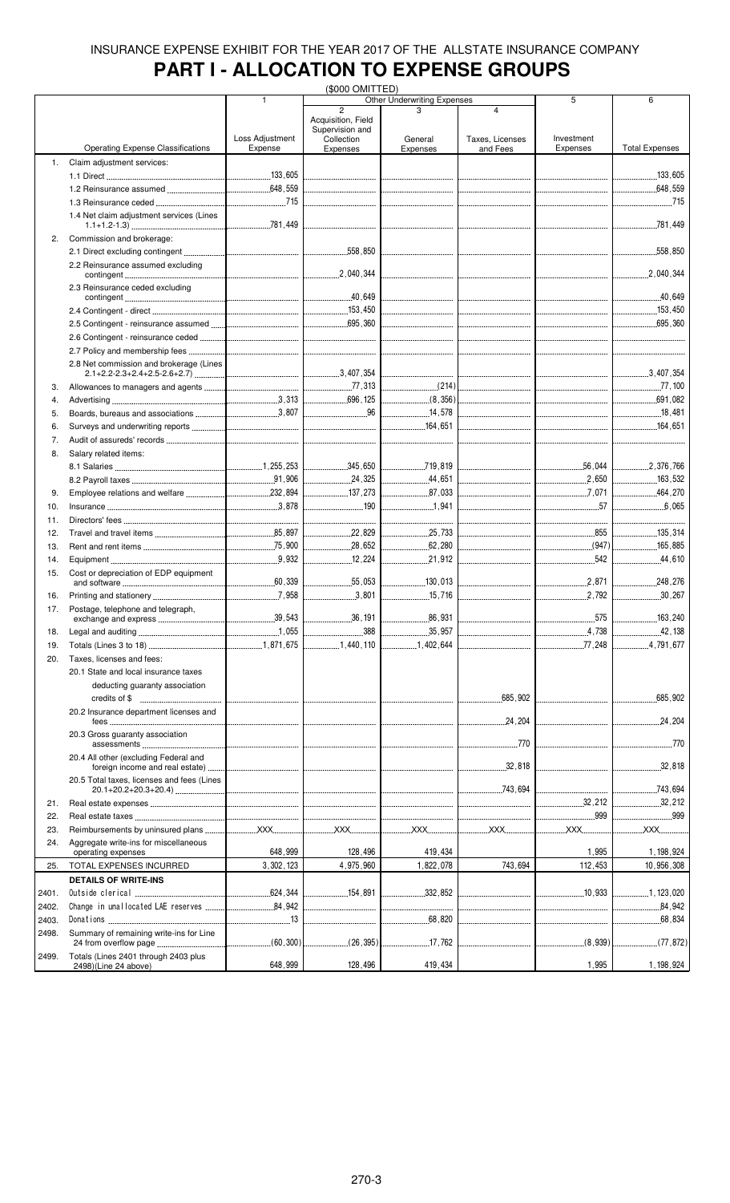# **PART I - ALLOCATION TO EXPENSE GROUPS**

|       |                                                            |                 | (\$000 OMITTED)                                                                                                                                                                                                                                                                                                                                               |                                        |                                                                                                                                                                                                                                                                                                                                                               |                                 |                       |
|-------|------------------------------------------------------------|-----------------|---------------------------------------------------------------------------------------------------------------------------------------------------------------------------------------------------------------------------------------------------------------------------------------------------------------------------------------------------------------|----------------------------------------|---------------------------------------------------------------------------------------------------------------------------------------------------------------------------------------------------------------------------------------------------------------------------------------------------------------------------------------------------------------|---------------------------------|-----------------------|
|       |                                                            | $\mathbf{1}$    |                                                                                                                                                                                                                                                                                                                                                               | <b>Other Underwriting Expenses</b>     |                                                                                                                                                                                                                                                                                                                                                               | 5                               | 6                     |
|       |                                                            |                 | $\overline{2}$<br>Acquisition, Field                                                                                                                                                                                                                                                                                                                          |                                        | $\overline{\mathbf{A}}$                                                                                                                                                                                                                                                                                                                                       |                                 |                       |
|       |                                                            |                 | Supervision and                                                                                                                                                                                                                                                                                                                                               |                                        |                                                                                                                                                                                                                                                                                                                                                               |                                 |                       |
|       |                                                            | Loss Adjustment | Collection                                                                                                                                                                                                                                                                                                                                                    | General                                | Taxes, Licenses                                                                                                                                                                                                                                                                                                                                               | Investment                      |                       |
|       | <b>Operating Expense Classifications</b>                   | Expense         | Expenses                                                                                                                                                                                                                                                                                                                                                      | Expenses                               | and Fees                                                                                                                                                                                                                                                                                                                                                      | Expenses                        | <b>Total Expenses</b> |
| 1.    | Claim adjustment services:                                 |                 |                                                                                                                                                                                                                                                                                                                                                               |                                        |                                                                                                                                                                                                                                                                                                                                                               |                                 |                       |
|       |                                                            |                 |                                                                                                                                                                                                                                                                                                                                                               |                                        |                                                                                                                                                                                                                                                                                                                                                               |                                 |                       |
|       |                                                            |                 |                                                                                                                                                                                                                                                                                                                                                               |                                        |                                                                                                                                                                                                                                                                                                                                                               |                                 |                       |
|       |                                                            |                 |                                                                                                                                                                                                                                                                                                                                                               |                                        |                                                                                                                                                                                                                                                                                                                                                               |                                 |                       |
|       |                                                            |                 | $\mathcal{L} = \{1, 2, \ldots, 2, \ldots, 2, \ldots, 2, \ldots, 2, \ldots, 2, \ldots, 2, \ldots, 2, \ldots, 2, \ldots, 2, \ldots, 2, \ldots, 2, \ldots, 2, \ldots, 2, \ldots, 2, \ldots, 2, \ldots, 2, \ldots, 2, \ldots, 2, \ldots, 2, \ldots, 2, \ldots, 2, \ldots, 2, \ldots, 2, \ldots, 2, \ldots, 2, \ldots, 2, \ldots, 2, \ldots, 2, \ldots, 2, \ldots$ |                                        |                                                                                                                                                                                                                                                                                                                                                               |                                 | 715                   |
|       | 1.4 Net claim adjustment services (Lines                   |                 |                                                                                                                                                                                                                                                                                                                                                               |                                        |                                                                                                                                                                                                                                                                                                                                                               |                                 |                       |
|       |                                                            |                 |                                                                                                                                                                                                                                                                                                                                                               | <br> --------------------------------- |                                                                                                                                                                                                                                                                                                                                                               |                                 |                       |
| 2.    | Commission and brokerage:                                  |                 |                                                                                                                                                                                                                                                                                                                                                               |                                        |                                                                                                                                                                                                                                                                                                                                                               |                                 |                       |
|       |                                                            |                 |                                                                                                                                                                                                                                                                                                                                                               |                                        |                                                                                                                                                                                                                                                                                                                                                               |                                 |                       |
|       | 2.2 Reinsurance assumed excluding                          |                 |                                                                                                                                                                                                                                                                                                                                                               |                                        |                                                                                                                                                                                                                                                                                                                                                               |                                 |                       |
|       |                                                            |                 |                                                                                                                                                                                                                                                                                                                                                               |                                        |                                                                                                                                                                                                                                                                                                                                                               |                                 | .2,040,344            |
|       | 2.3 Reinsurance ceded excluding                            |                 |                                                                                                                                                                                                                                                                                                                                                               |                                        |                                                                                                                                                                                                                                                                                                                                                               |                                 |                       |
|       |                                                            |                 |                                                                                                                                                                                                                                                                                                                                                               |                                        |                                                                                                                                                                                                                                                                                                                                                               |                                 |                       |
|       |                                                            |                 |                                                                                                                                                                                                                                                                                                                                                               |                                        |                                                                                                                                                                                                                                                                                                                                                               |                                 |                       |
|       |                                                            |                 |                                                                                                                                                                                                                                                                                                                                                               |                                        | <br> ---------------------------------                                                                                                                                                                                                                                                                                                                        | $\sim$ 695.360                  |                       |
|       |                                                            |                 |                                                                                                                                                                                                                                                                                                                                                               |                                        |                                                                                                                                                                                                                                                                                                                                                               |                                 |                       |
|       |                                                            |                 |                                                                                                                                                                                                                                                                                                                                                               |                                        | ----------------------------------                                                                                                                                                                                                                                                                                                                            |                                 |                       |
|       |                                                            |                 |                                                                                                                                                                                                                                                                                                                                                               |                                        |                                                                                                                                                                                                                                                                                                                                                               |                                 |                       |
|       | 2.8 Net commission and brokerage (Lines                    |                 |                                                                                                                                                                                                                                                                                                                                                               |                                        |                                                                                                                                                                                                                                                                                                                                                               |                                 |                       |
|       |                                                            |                 |                                                                                                                                                                                                                                                                                                                                                               |                                        |                                                                                                                                                                                                                                                                                                                                                               |                                 |                       |
| 3.    |                                                            |                 |                                                                                                                                                                                                                                                                                                                                                               |                                        |                                                                                                                                                                                                                                                                                                                                                               |                                 |                       |
| 4.    |                                                            |                 |                                                                                                                                                                                                                                                                                                                                                               | (8,356)                                |                                                                                                                                                                                                                                                                                                                                                               |                                 | 691,082               |
| 5.    |                                                            |                 |                                                                                                                                                                                                                                                                                                                                                               | 14,578                                 |                                                                                                                                                                                                                                                                                                                                                               |                                 | 18,481                |
| 6.    |                                                            |                 |                                                                                                                                                                                                                                                                                                                                                               |                                        |                                                                                                                                                                                                                                                                                                                                                               |                                 |                       |
|       |                                                            |                 |                                                                                                                                                                                                                                                                                                                                                               |                                        |                                                                                                                                                                                                                                                                                                                                                               |                                 |                       |
| 7.    |                                                            |                 |                                                                                                                                                                                                                                                                                                                                                               |                                        |                                                                                                                                                                                                                                                                                                                                                               |                                 |                       |
| 8.    | Salary related items:                                      |                 |                                                                                                                                                                                                                                                                                                                                                               |                                        |                                                                                                                                                                                                                                                                                                                                                               |                                 |                       |
|       |                                                            |                 |                                                                                                                                                                                                                                                                                                                                                               |                                        |                                                                                                                                                                                                                                                                                                                                                               | 56,044                          | 2,376,766             |
|       |                                                            |                 |                                                                                                                                                                                                                                                                                                                                                               |                                        |                                                                                                                                                                                                                                                                                                                                                               |                                 | 163,532               |
| 9.    |                                                            |                 | $\frac{137}{273}$                                                                                                                                                                                                                                                                                                                                             | 87.033                                 |                                                                                                                                                                                                                                                                                                                                                               | 7,071                           | 464,270               |
|       |                                                            |                 |                                                                                                                                                                                                                                                                                                                                                               | 1,941                                  |                                                                                                                                                                                                                                                                                                                                                               | 57                              | 6,065                 |
| 10.   |                                                            |                 |                                                                                                                                                                                                                                                                                                                                                               |                                        |                                                                                                                                                                                                                                                                                                                                                               |                                 |                       |
| 11.   |                                                            |                 |                                                                                                                                                                                                                                                                                                                                                               |                                        |                                                                                                                                                                                                                                                                                                                                                               | ------------------------------- |                       |
| 12.   |                                                            |                 | 22.829                                                                                                                                                                                                                                                                                                                                                        | 25,733                                 |                                                                                                                                                                                                                                                                                                                                                               | 855                             | 135,314               |
| 13.   |                                                            |                 |                                                                                                                                                                                                                                                                                                                                                               |                                        |                                                                                                                                                                                                                                                                                                                                                               | (947)                           | 165,885               |
| 14.   |                                                            |                 | 12,224<br>                                                                                                                                                                                                                                                                                                                                                    | 21,912                                 | -------------------------------                                                                                                                                                                                                                                                                                                                               | 542<br>                         | 44,610                |
| 15.   | Cost or depreciation of EDP equipment                      |                 |                                                                                                                                                                                                                                                                                                                                                               |                                        |                                                                                                                                                                                                                                                                                                                                                               |                                 |                       |
|       |                                                            |                 | 55,053                                                                                                                                                                                                                                                                                                                                                        | 130.013                                |                                                                                                                                                                                                                                                                                                                                                               | 2.871<br>.                      | 248.276               |
| 16.   |                                                            |                 | 3.801<br>.                                                                                                                                                                                                                                                                                                                                                    | 15,716                                 | -------------------------------                                                                                                                                                                                                                                                                                                                               | .2.792<br>.                     | 30,267                |
|       |                                                            |                 |                                                                                                                                                                                                                                                                                                                                                               |                                        |                                                                                                                                                                                                                                                                                                                                                               |                                 |                       |
| 17.   | Postage, telephone and telegraph,<br>exchange and express. | .39,543         | 36 , 191                                                                                                                                                                                                                                                                                                                                                      | .86,931                                |                                                                                                                                                                                                                                                                                                                                                               | .575                            | 163,240               |
|       |                                                            |                 | 388                                                                                                                                                                                                                                                                                                                                                           | .<br>.35.957                           |                                                                                                                                                                                                                                                                                                                                                               |                                 |                       |
| 18.   |                                                            |                 |                                                                                                                                                                                                                                                                                                                                                               |                                        |                                                                                                                                                                                                                                                                                                                                                               | .4,738<br>.                     |                       |
| 19.   |                                                            |                 | 1,440,110                                                                                                                                                                                                                                                                                                                                                     | 1,402,644                              | $\mathcal{L} = \{1, 2, \ldots, 2, \ldots, 2, \ldots, 2, \ldots, 2, \ldots, 2, \ldots, 2, \ldots, 2, \ldots, 2, \ldots, 2, \ldots, 2, \ldots, 2, \ldots, 2, \ldots, 2, \ldots, 2, \ldots, 2, \ldots, 2, \ldots, 2, \ldots, 2, \ldots, 2, \ldots, 2, \ldots, 2, \ldots, 2, \ldots, 2, \ldots, 2, \ldots, 2, \ldots, 2, \ldots, 2, \ldots, 2, \ldots, 2, \ldots$ | .77,248<br>.                    | 4,791,677             |
| 20.   | Taxes, licenses and fees:                                  |                 |                                                                                                                                                                                                                                                                                                                                                               |                                        |                                                                                                                                                                                                                                                                                                                                                               |                                 |                       |
|       | 20.1 State and local insurance taxes                       |                 |                                                                                                                                                                                                                                                                                                                                                               |                                        |                                                                                                                                                                                                                                                                                                                                                               |                                 |                       |
|       | deducting guaranty association                             |                 |                                                                                                                                                                                                                                                                                                                                                               |                                        |                                                                                                                                                                                                                                                                                                                                                               |                                 |                       |
|       |                                                            |                 |                                                                                                                                                                                                                                                                                                                                                               |                                        | .685,902                                                                                                                                                                                                                                                                                                                                                      |                                 | 685.902               |
|       |                                                            |                 |                                                                                                                                                                                                                                                                                                                                                               |                                        | .                                                                                                                                                                                                                                                                                                                                                             |                                 |                       |
|       | 20.2 Insurance department licenses and                     |                 |                                                                                                                                                                                                                                                                                                                                                               |                                        | .24,204                                                                                                                                                                                                                                                                                                                                                       |                                 | .24,204               |
|       |                                                            |                 |                                                                                                                                                                                                                                                                                                                                                               |                                        | .                                                                                                                                                                                                                                                                                                                                                             |                                 |                       |
|       | 20.3 Gross guaranty association                            |                 |                                                                                                                                                                                                                                                                                                                                                               |                                        |                                                                                                                                                                                                                                                                                                                                                               |                                 |                       |
|       |                                                            |                 |                                                                                                                                                                                                                                                                                                                                                               |                                        |                                                                                                                                                                                                                                                                                                                                                               |                                 |                       |
|       | 20.4 All other (excluding Federal and                      |                 |                                                                                                                                                                                                                                                                                                                                                               |                                        | .32, 818                                                                                                                                                                                                                                                                                                                                                      |                                 | 32,818                |
|       |                                                            |                 |                                                                                                                                                                                                                                                                                                                                                               |                                        |                                                                                                                                                                                                                                                                                                                                                               |                                 |                       |
|       | 20.5 Total taxes, licenses and fees (Lines                 |                 |                                                                                                                                                                                                                                                                                                                                                               |                                        |                                                                                                                                                                                                                                                                                                                                                               |                                 | 743,694               |
|       |                                                            |                 |                                                                                                                                                                                                                                                                                                                                                               |                                        |                                                                                                                                                                                                                                                                                                                                                               |                                 |                       |
| 21.   |                                                            |                 |                                                                                                                                                                                                                                                                                                                                                               |                                        |                                                                                                                                                                                                                                                                                                                                                               | 32,212                          | 32,212                |
| 22.   |                                                            |                 |                                                                                                                                                                                                                                                                                                                                                               |                                        |                                                                                                                                                                                                                                                                                                                                                               |                                 |                       |
| 23.   |                                                            |                 |                                                                                                                                                                                                                                                                                                                                                               |                                        |                                                                                                                                                                                                                                                                                                                                                               | XX                              | <b>XXX</b>            |
| 24.   | Aggregate write-ins for miscellaneous                      |                 |                                                                                                                                                                                                                                                                                                                                                               |                                        |                                                                                                                                                                                                                                                                                                                                                               |                                 |                       |
|       | operating expenses                                         | 648,999         | 128,496                                                                                                                                                                                                                                                                                                                                                       | 419,434                                |                                                                                                                                                                                                                                                                                                                                                               | 1,995                           | 1, 198, 924           |
| 25.   | TOTAL EXPENSES INCURRED                                    | 3,302,123       | 4,975,960                                                                                                                                                                                                                                                                                                                                                     | 1,822,078                              | 743,694                                                                                                                                                                                                                                                                                                                                                       | 112,453                         | 10,956,308            |
|       |                                                            |                 |                                                                                                                                                                                                                                                                                                                                                               |                                        |                                                                                                                                                                                                                                                                                                                                                               |                                 |                       |
|       | <b>DETAILS OF WRITE-INS</b>                                |                 |                                                                                                                                                                                                                                                                                                                                                               |                                        |                                                                                                                                                                                                                                                                                                                                                               |                                 |                       |
| 2401. |                                                            |                 | 154,891                                                                                                                                                                                                                                                                                                                                                       | 332,852                                |                                                                                                                                                                                                                                                                                                                                                               |                                 | 1, 123,020            |
| 2402. |                                                            |                 |                                                                                                                                                                                                                                                                                                                                                               |                                        |                                                                                                                                                                                                                                                                                                                                                               |                                 | 84,942                |
| 2403. |                                                            |                 |                                                                                                                                                                                                                                                                                                                                                               | .68,820<br>.                           |                                                                                                                                                                                                                                                                                                                                                               |                                 |                       |
| 2498. | Summary of remaining write-ins for Line                    |                 |                                                                                                                                                                                                                                                                                                                                                               |                                        |                                                                                                                                                                                                                                                                                                                                                               |                                 |                       |
|       |                                                            |                 |                                                                                                                                                                                                                                                                                                                                                               |                                        |                                                                                                                                                                                                                                                                                                                                                               |                                 |                       |
| 2499. | Totals (Lines 2401 through 2403 plus                       |                 |                                                                                                                                                                                                                                                                                                                                                               |                                        |                                                                                                                                                                                                                                                                                                                                                               |                                 |                       |
|       | 2498)(Line 24 above)                                       | 648,999         | 128,496                                                                                                                                                                                                                                                                                                                                                       | 419,434                                |                                                                                                                                                                                                                                                                                                                                                               | 1,995                           | 1, 198, 924           |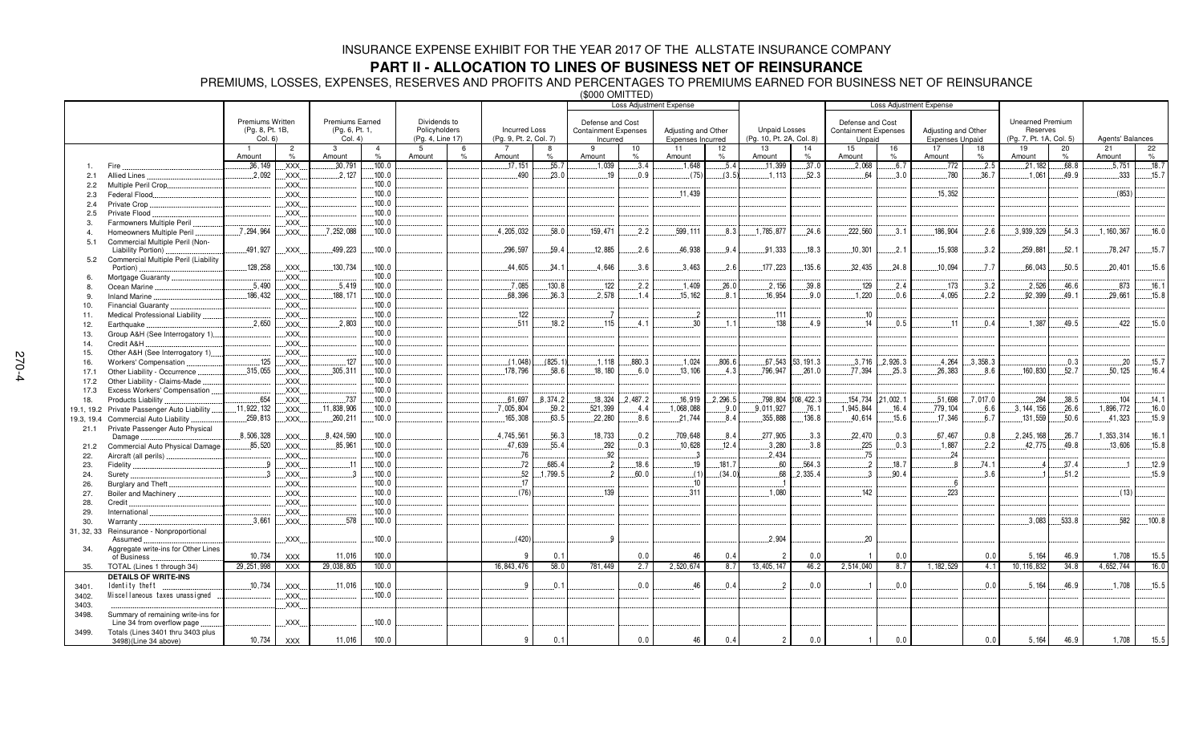## **PART II - ALLOCATION TO LINES OF BUSINESS NET OF REINSURANCE**

PREMIUMS, LOSSES, EXPENSES, RESERVES AND PROFITS AND PERCENTAGES TO PREMIUMS EARNED FOR BUSINESS NET OF REINSURANCE (\$000 OMITTED)

|            |                                                    |                         |                                                                                                                                                                                                                                                                                                                                                                                      |                        |                |                  |               | ∖♥♡♡♡ ♡™" ' ' ' ' ''<br><b>Loss Adjustment Expense</b> |          |                             |         |                          |         |                          |                   |                             |                        |                                |          |                         |       |                  |        |
|------------|----------------------------------------------------|-------------------------|--------------------------------------------------------------------------------------------------------------------------------------------------------------------------------------------------------------------------------------------------------------------------------------------------------------------------------------------------------------------------------------|------------------------|----------------|------------------|---------------|--------------------------------------------------------|----------|-----------------------------|---------|--------------------------|---------|--------------------------|-------------------|-----------------------------|------------------------|--------------------------------|----------|-------------------------|-------|------------------|--------|
|            |                                                    |                         |                                                                                                                                                                                                                                                                                                                                                                                      |                        |                |                  |               |                                                        |          |                             |         |                          |         |                          |                   |                             |                        | <b>Loss Adjustment Expense</b> |          |                         |       |                  |        |
|            |                                                    |                         |                                                                                                                                                                                                                                                                                                                                                                                      |                        |                |                  |               |                                                        |          |                             |         |                          |         |                          |                   |                             |                        |                                |          |                         |       |                  |        |
|            |                                                    | <b>Premiums Written</b> |                                                                                                                                                                                                                                                                                                                                                                                      | <b>Premiums Earned</b> |                | Dividends to     |               |                                                        |          | Defense and Cost            |         |                          |         |                          |                   | Defense and Cost            |                        |                                |          | <b>Unearned Premium</b> |       |                  |        |
|            |                                                    | (Pg. 8, Pt. 1B,         |                                                                                                                                                                                                                                                                                                                                                                                      | (Pg. 6, Pt. 1,         |                | Policyholders    |               | <b>Incurred Loss</b>                                   |          | <b>Containment Expenses</b> |         | Adjusting and Other      |         | <b>Unpaid Losses</b>     |                   | <b>Containment Expenses</b> |                        | Adjusting and Other            |          | Reserves                |       |                  |        |
|            |                                                    | Col. 6)                 |                                                                                                                                                                                                                                                                                                                                                                                      | Col. 4)                |                | (Pq. 4, Line 17) |               | (Pg. 9, Pt. 2, Col. 7)                                 |          | Incurred                    |         | <b>Expenses Incurred</b> |         | (Pg. 10, Pt. 2A, Col. 8) |                   | Unpaid                      |                        | <b>Expenses Unpaid</b>         |          | (Pg. 7, Pt. 1A, Col. 5) |       | Agents' Balances |        |
|            |                                                    |                         | $\overline{2}$                                                                                                                                                                                                                                                                                                                                                                       | -3                     | $\overline{4}$ | 5                | 6             |                                                        | 8        | 9                           | 10      | 11                       | 12      | 13                       | 14                | 15                          | 16                     | 17                             | 18       | 19                      | 20    | 21               | 22     |
|            |                                                    | Amount                  | $\%$                                                                                                                                                                                                                                                                                                                                                                                 | Amount                 | $\%$           | Amount           | $\frac{9}{6}$ | Amount                                                 | $\%$     | Amount                      | %       | Amount                   | $\%$    | Amount                   | $\%$              | Amount                      | $\%$                   | Amount                         | $\%$     | Amount                  | $\%$  | Amount           | $\%$   |
|            | Fire                                               | .36,149                 | XXX.                                                                                                                                                                                                                                                                                                                                                                                 | .30,791                | .100.0         |                  |               | .17.151                                                | .55.7    | .1.039                      | 3.4     | .1,648                   | .5.4    | 11,399                   | .37.0             | .2,068                      | .6.7                   | 772                            | .2.5     | 21, 182                 | 68.8  | .5.751           | .18.7  |
| 2.1        | Allied Lines                                       | .2,092                  | XXX.                                                                                                                                                                                                                                                                                                                                                                                 | 2,127                  | 100.0          |                  |               | .490                                                   | .23.0    | .19                         | .0.9    | (75)                     | (3.5)   | .1.113                   | .52.3             | 64                          | .3.0                   | 780                            | .36.7    | .1.061                  | .49.9 | .333             | .15.7  |
| 2.2        | Multiple Peril Crop                                |                         | $\mathsf{XXX}$                                                                                                                                                                                                                                                                                                                                                                       |                        | 100.0          |                  |               |                                                        |          |                             |         |                          |         |                          |                   |                             |                        |                                |          |                         |       |                  |        |
| 2.3        | Federal Flood                                      |                         | XXX.                                                                                                                                                                                                                                                                                                                                                                                 |                        | 100.0          |                  |               |                                                        |          |                             |         | 11,439                   |         |                          |                   |                             |                        | 15.352                         |          |                         |       | (853)            |        |
| 2.4        | Private Crop.                                      |                         | XXX.                                                                                                                                                                                                                                                                                                                                                                                 |                        | 100.0          |                  |               |                                                        |          |                             |         |                          |         |                          |                   |                             |                        |                                |          |                         |       |                  |        |
|            |                                                    |                         |                                                                                                                                                                                                                                                                                                                                                                                      |                        | .100.0         |                  |               |                                                        |          |                             |         |                          |         |                          |                   |                             |                        |                                |          |                         |       |                  |        |
| 2.5        | Private Flood.                                     |                         | .XXX.                                                                                                                                                                                                                                                                                                                                                                                |                        |                |                  |               |                                                        |          |                             |         |                          |         |                          |                   |                             |                        |                                |          |                         |       |                  |        |
| 3.         | Farmowners Multiple Peril                          |                         | $\mathsf{XXX}$ .                                                                                                                                                                                                                                                                                                                                                                     |                        | .100.0         |                  |               |                                                        |          |                             |         |                          |         |                          |                   |                             |                        |                                |          |                         |       |                  |        |
| 4          | Homeowners Multiple Peril                          | .7.294.964              | .XXX.                                                                                                                                                                                                                                                                                                                                                                                | .7,252,088             | .100.0         |                  |               | .4, 205, 032                                           | .58.0    | .159,471                    | 2.2     | 599.111                  | 8.3     | 1,785,877                | 24.6              | .222,560                    | .3.1                   | .186,904                       | .2.6     | 3,939,329               | .54.3 | 1, 160, 367      | .16.0  |
| 5.1        | Commercial Multiple Peril (Non-                    |                         |                                                                                                                                                                                                                                                                                                                                                                                      |                        |                |                  |               |                                                        |          |                             |         |                          |         |                          |                   |                             |                        |                                |          |                         |       |                  |        |
|            | Liability Portion).                                | 491,927                 | XXX.                                                                                                                                                                                                                                                                                                                                                                                 | .499,223               | .100.0         |                  |               | .296,597                                               | .59.4    | 12,885                      | 2.6     | 46,938                   | .9.4    | 91,333                   | .18.3             | .10,301                     | .2.1                   | .15,938                        | 3.2      | .259,881                | .52.1 | .78,247          | .15.7  |
| 5.2        | Commercial Multiple Peril (Liability               |                         |                                                                                                                                                                                                                                                                                                                                                                                      |                        |                |                  |               |                                                        |          |                             |         |                          |         |                          |                   |                             |                        |                                |          |                         |       |                  |        |
|            | Portion)                                           | 128,258                 | <b>XXX</b>                                                                                                                                                                                                                                                                                                                                                                           | 130,734                | 100.0          |                  |               | 44.605                                                 | .34.1    | .4.646                      | 3.6     | 3.463                    | 2.6     | 177, 223                 | .135.6            | 32,435                      | 24.8                   | .10.094                        | 7.7      | 66.043                  | 50.5  | .20.401          | .15.6  |
| 6.         | Mortgage Guaranty                                  |                         | $\mathsf{XXX}$ .                                                                                                                                                                                                                                                                                                                                                                     |                        | 100.0          |                  |               |                                                        |          |                             |         |                          |         |                          |                   |                             |                        |                                |          |                         |       |                  |        |
| 8          | Ocean Marine                                       | .5.490                  | $\mathsf{XXX}$ .                                                                                                                                                                                                                                                                                                                                                                     | .5.419                 | .100.0         |                  |               | .7,085                                                 | 130.8    | .122                        | 2.2     | .1,409                   | .26.0   | .2,156                   | .39.8             | 129                         | 2.4                    | .173                           | 3.2      | 2,526                   | 46.6  | .873             | .16.1  |
|            | <b>Inland Marine</b>                               | 186,432                 | .XXX.                                                                                                                                                                                                                                                                                                                                                                                | .188, 171              | .100.0         |                  |               | 68,396                                                 | .36.3    | .2.578                      | .1.4    | 15, 162                  | .8.1    | .16,954                  | .9.0              | .1,220                      | 0.6                    | 4,095                          | .2.2     | .92,399                 | .49.1 | .29,661          | .15.8  |
| 10.        | Financial Guaranty.                                |                         | .XXX.                                                                                                                                                                                                                                                                                                                                                                                |                        | .100.0         |                  |               |                                                        |          |                             |         |                          |         |                          |                   |                             |                        |                                |          |                         |       |                  |        |
| 11.        | Medical Professional Liability                     |                         | XXX.                                                                                                                                                                                                                                                                                                                                                                                 |                        | .100.0         |                  |               | .122                                                   |          |                             |         |                          |         | .111                     |                   | .10                         |                        |                                |          |                         |       |                  |        |
| 12.        | Earthquake                                         | .2,650                  | .XXX.                                                                                                                                                                                                                                                                                                                                                                                | .2,803                 | 100.0          |                  |               | .511                                                   | .18.2    | .115                        | .4.1    | .30                      | 1.1     | .138                     | .4.9              | .14                         | .0.5                   | .11                            | .0.4     | .1.387                  | 49.5  | $-422$           | .15.0  |
|            |                                                    |                         | XXX.                                                                                                                                                                                                                                                                                                                                                                                 |                        | 100.0          |                  |               |                                                        |          |                             |         |                          |         |                          |                   |                             |                        |                                |          |                         |       |                  |        |
| 13.        | Group A&H (See Interrogatory 1)                    |                         |                                                                                                                                                                                                                                                                                                                                                                                      |                        | 100.0          |                  |               |                                                        |          |                             |         |                          |         |                          |                   |                             |                        |                                |          |                         |       |                  |        |
| 14.        | Credit A&H                                         |                         | .XXX.                                                                                                                                                                                                                                                                                                                                                                                |                        |                |                  |               |                                                        |          |                             |         |                          |         |                          |                   |                             |                        |                                |          |                         |       |                  |        |
| 15.        | Other A&H (See Interrogatory 1)                    |                         | XXX.                                                                                                                                                                                                                                                                                                                                                                                 |                        | 100.0          |                  |               |                                                        |          |                             |         |                          |         |                          |                   |                             |                        |                                |          |                         |       |                  |        |
| 16.        | Workers' Compensation                              | 125                     | $\mathsf{XXX}$                                                                                                                                                                                                                                                                                                                                                                       | 127                    | 100.0          |                  |               | (1,048)                                                | (825.1)  | .1.118                      | .880.3  | .1,024                   | .806.6  |                          | 67,543 53,191.3   | 3,716                       | 2,926.3                | 4,264                          | 3,358.3  |                         | 0.3   | .20              | 15.7   |
| 17.1       | Other Liability - Occurrence.                      | .315,055                | .XXX.                                                                                                                                                                                                                                                                                                                                                                                | .305,311               | .100.0         |                  |               | .178,796                                               | .58.6    | .18,180                     | .6.0    | .13,106                  | 4.3     | .796,947                 | .261.0            | 77,394                      | .25.3                  | 26,383                         | .8.6     | 160,830                 | .52.7 | .50, 125         | .16.4  |
| 17.2       | Other Liability - Claims-Made                      |                         | XXX.                                                                                                                                                                                                                                                                                                                                                                                 |                        | .100.0         |                  |               |                                                        |          |                             |         |                          |         |                          |                   |                             |                        |                                |          |                         |       |                  |        |
| 17.3       | Excess Workers' Compensation                       |                         | XXX.                                                                                                                                                                                                                                                                                                                                                                                 |                        | 100.0          |                  |               |                                                        |          |                             |         |                          |         |                          |                   |                             |                        |                                |          |                         |       |                  |        |
| 18.        | Products Liability                                 | .654                    | $\overline{X}$ $\overline{X}$ $\overline{X}$ $\overline{X}$ $\overline{X}$                                                                                                                                                                                                                                                                                                           | .737                   | 100.0          |                  |               | .61.697                                                | .8.374.2 | .18.324                     | 2.487.2 | .16,919                  | 2.296.5 |                          | 798.804 108.422.3 |                             | $.154.734$ $.21.002.1$ | 51.698                         | .7.017.0 | .284                    | .38.5 | 104              | .14.1  |
| 19.1, 19.2 | Private Passenger Auto Liability                   | 11,922,132              | XXX.                                                                                                                                                                                                                                                                                                                                                                                 | 11,838,906             | .100.0         |                  |               | .7,005,804                                             | .59.2    | .521,399                    | 4.4     | .1,068,088               | .9.0    | 9.011.927                | .76.1             | .1,945,844                  | .16.4                  | .779, 104                      | .6.6     | .3.144.156              | 26.6  | 1,896,772        | .16.0  |
| 19.3, 19.4 | <b>Commercial Auto Liability</b>                   | 259,813                 | $\mathsf{XXX}$ .                                                                                                                                                                                                                                                                                                                                                                     | .260,211               | 100.0          |                  |               | 165,308                                                | .63.5    | 22,280                      | 8.6     | .21,744                  | .8.4    | .355,888                 | .136.8            | 40,614                      | .15.6                  | .17,346                        | .6.7     | 131,559                 | .50.6 | 41,323           | .15.9  |
|            | Private Passenger Auto Physical                    |                         |                                                                                                                                                                                                                                                                                                                                                                                      |                        |                |                  |               |                                                        |          |                             |         |                          |         |                          |                   |                             |                        |                                |          |                         |       |                  |        |
| 21.1       | Damage                                             | .8,506,328              | XXX.                                                                                                                                                                                                                                                                                                                                                                                 | .8,424,590             | .100.0         |                  |               | 4,745,561                                              | 56.3     | 18,733                      | .0.2    | 709,648                  | .8.4    | .277,905                 | .3.3              | 22,470                      | .0.3                   | 67,467                         | 0.8      | .2,245,168              | .26.7 | 1,353,314        | .16.1  |
|            |                                                    | .85,520                 |                                                                                                                                                                                                                                                                                                                                                                                      | .85.961                | 100.0          |                  |               | .47,639                                                | .55.4    | .292                        | 0.3     | .10,628                  | .12.4   | 3.280                    | 3.8               | .225                        | .0.3                   | .1,887                         | .2.2     | 42,775                  | 49.8  | .13.606          | .15.8  |
| 21.2       | Commercial Auto Physical Damage                    |                         | .XXX.                                                                                                                                                                                                                                                                                                                                                                                |                        |                |                  |               |                                                        |          |                             |         |                          |         |                          |                   |                             |                        |                                |          |                         |       |                  |        |
| 22.        | Aircraft (all perils)                              |                         | XXX.                                                                                                                                                                                                                                                                                                                                                                                 |                        | 100.0          |                  |               | .76                                                    |          | .92                         |         | . . 3                    |         | .2,434                   |                   | 75                          |                        | 24                             |          |                         |       |                  |        |
| 23.        | <b>Fidelity</b>                                    | $\overline{9}$          | XXX.                                                                                                                                                                                                                                                                                                                                                                                 | 11                     | 100.0          |                  |               | 72                                                     | 685.4    | $\overline{2}$              | 18.6    | .19                      | .181.7  | 60                       | .564.3            | $\overline{2}$              | .18.7                  | -8                             | 74.1     |                         | .37.4 |                  | .12.9  |
| 24.        | Surety                                             | $\mathbf{3}$            | $\mathsf{L}$ XXX $\mathsf{L}$                                                                                                                                                                                                                                                                                                                                                        | - 3                    | .100.0         |                  |               | .52                                                    | 1,799.5  | $\overline{2}$              | 60.0    | (1)                      | (34.0)  | .68                      | 2,335.4           | -3                          | 90.4                   |                                | 3.6      |                         | .51.2 |                  | .15.9  |
| 26.        | Burglary and Theft                                 |                         | XXX.                                                                                                                                                                                                                                                                                                                                                                                 |                        | 100.0          |                  |               | 17                                                     |          |                             |         | .10                      |         |                          |                   |                             |                        | - 6                            |          |                         |       |                  |        |
| 27.        | Boiler and Machinery                               |                         | $\mathsf{XXX}$ .                                                                                                                                                                                                                                                                                                                                                                     |                        | .100.0         |                  |               | (76)                                                   |          | .139                        |         | .311                     |         | .1,080                   |                   | .142                        |                        | .223                           |          |                         |       | (13)             |        |
| 28.        | Credit                                             |                         | XXX.                                                                                                                                                                                                                                                                                                                                                                                 |                        | .100.0         |                  |               |                                                        |          |                             |         |                          |         |                          |                   |                             |                        |                                |          |                         |       |                  |        |
| 29.        | International                                      |                         | XXX.                                                                                                                                                                                                                                                                                                                                                                                 |                        | 100.0          |                  |               |                                                        |          |                             |         |                          |         |                          |                   |                             |                        |                                |          |                         |       |                  |        |
| 30.        | Warranty                                           | .3,661                  | .XXX.                                                                                                                                                                                                                                                                                                                                                                                | .578                   | .100.0         |                  |               |                                                        |          |                             |         |                          |         |                          |                   |                             |                        |                                |          | .3.083                  | 533.8 | .582             | .100.8 |
| 31, 32, 33 | Reinsurance - Nonproportional                      |                         |                                                                                                                                                                                                                                                                                                                                                                                      |                        |                |                  |               |                                                        |          |                             |         |                          |         |                          |                   |                             |                        |                                |          |                         |       |                  |        |
|            | Assumed                                            |                         | XXX.                                                                                                                                                                                                                                                                                                                                                                                 |                        | .100.0         |                  |               | (420)                                                  |          |                             |         |                          |         | .2,904                   |                   | .20                         |                        |                                |          |                         |       |                  |        |
| 34.        |                                                    |                         |                                                                                                                                                                                                                                                                                                                                                                                      |                        |                |                  |               |                                                        |          |                             |         |                          |         |                          |                   |                             |                        |                                |          |                         |       |                  |        |
|            | Aggregate write-ins for Other Lines<br>of Business | 10,734                  | <b>XXX</b>                                                                                                                                                                                                                                                                                                                                                                           | 11,016                 | 100.0          |                  |               | <b>9</b>                                               | 0.1      |                             | 0.0     | 46                       | 0.4     | $\overline{2}$           | 0.0               |                             | 0.0                    |                                | 0.0      | 5, 164                  | 46.9  | 1.708            | 15.5   |
|            |                                                    |                         |                                                                                                                                                                                                                                                                                                                                                                                      |                        | 100.0          |                  |               | 16,843,476                                             | 58.0     |                             | 2.7     | 2,520,674                | 8.7     | 13,405,147               | 46.2              | 2,514,040                   | 8.7                    |                                |          |                         | 34.8  | 4,652,744        |        |
| 35.        | TOTAL (Lines 1 through 34)                         | 29, 251, 998            | <b>XXX</b>                                                                                                                                                                                                                                                                                                                                                                           | 29,038,805             |                |                  |               |                                                        |          | 781,449                     |         |                          |         |                          |                   |                             |                        | 1, 182, 529                    | 4.1      | 10, 116, 832            |       |                  | 16.0   |
|            | <b>DETAILS OF WRITE-INS</b>                        |                         |                                                                                                                                                                                                                                                                                                                                                                                      |                        |                |                  |               |                                                        |          |                             |         |                          |         |                          |                   |                             |                        |                                |          |                         |       |                  |        |
| 3401.      | Identity theft                                     | 10.734                  | .XXX.                                                                                                                                                                                                                                                                                                                                                                                | .11.016                | .100.0         |                  |               | Q                                                      | .0.1     |                             | 0.0.    | 46                       | .0.4    |                          | 0.0               |                             | 0.0                    |                                | .0.0     | .5,164                  | .46.9 | .1,708           | .15.5  |
| 3402.      | Miscellaneous taxes unassigned                     |                         | $\overline{X}$ $\overline{X}$ $\overline{X}$ $\overline{X}$ $\overline{X}$ $\overline{X}$ $\overline{X}$ $\overline{X}$ $\overline{X}$ $\overline{X}$ $\overline{X}$ $\overline{X}$ $\overline{X}$ $\overline{X}$ $\overline{X}$ $\overline{X}$ $\overline{X}$ $\overline{X}$ $\overline{X}$ $\overline{X}$ $\overline{X}$ $\overline{X}$ $\overline{X}$ $\overline{X}$ $\overline{$ |                        | 100.0          |                  |               |                                                        |          |                             |         |                          |         |                          |                   |                             |                        |                                |          |                         |       |                  |        |
| 3403.      |                                                    |                         | .XXX.                                                                                                                                                                                                                                                                                                                                                                                |                        |                |                  |               |                                                        |          |                             |         |                          |         |                          |                   |                             |                        |                                |          |                         |       |                  |        |
| 3498.      | Summary of remaining write-ins for                 |                         |                                                                                                                                                                                                                                                                                                                                                                                      |                        |                |                  |               |                                                        |          |                             |         |                          |         |                          |                   |                             |                        |                                |          |                         |       |                  |        |
|            | Line 34 from overflow page                         |                         | XXX.                                                                                                                                                                                                                                                                                                                                                                                 |                        | .100.0         |                  |               |                                                        |          |                             |         |                          |         |                          |                   |                             |                        |                                |          |                         |       |                  |        |
| 3499.      | Totals (Lines 3401 thru 3403 plus                  |                         |                                                                                                                                                                                                                                                                                                                                                                                      |                        |                |                  |               |                                                        |          |                             |         |                          |         |                          |                   |                             |                        |                                |          |                         |       |                  |        |
|            | 3498)(Line 34 above)                               | 10,734                  | <b>XXX</b>                                                                                                                                                                                                                                                                                                                                                                           | 11,016                 | 100.0          |                  |               | $\mathbf{q}$                                           | 0.1      |                             | 0.0     | 46                       | 0.4     | $\overline{2}$           | 0.0               | 1 <sup>1</sup>              | 0.0                    |                                | 0.0      | 5, 164                  | 46.9  | 1,708            | 15.5   |
|            |                                                    |                         |                                                                                                                                                                                                                                                                                                                                                                                      |                        |                |                  |               |                                                        |          |                             |         |                          |         |                          |                   |                             |                        |                                |          |                         |       |                  |        |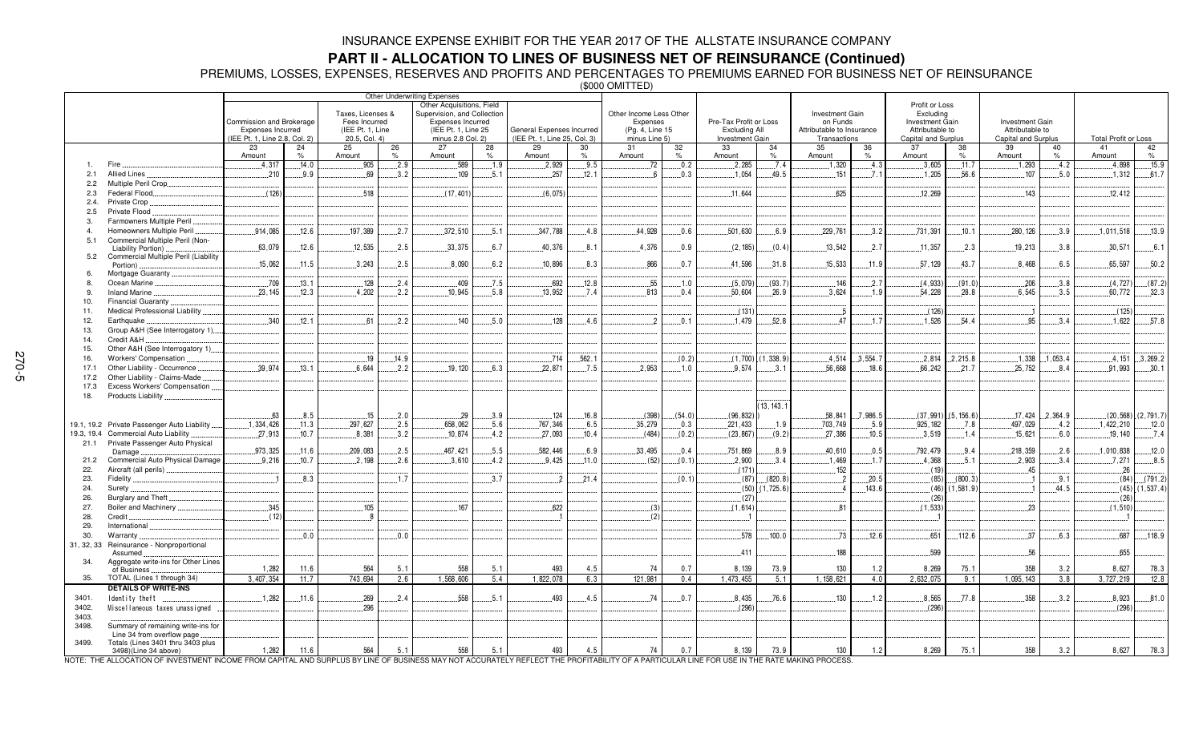**PART II - ALLOCATION TO LINES OF BUSINESS NET OF REINSURANCE (Continued)<br>PREMIUMS LOSSES, EXPENSES, RESERVES AND PROFITS AND PERCENTAGES TO PREMIUMS EARNED FOR BUSINESS NET OF REINSURANCE<br>(\$000 OMITTED)** 

| Other Underwriting Expenses |                                                                  |                               |                |                  |                                                                               |                      |              |                              |               |                                     |                     |                        |                     |                             |                     |                                     |                     |                        |              |                             |                          |
|-----------------------------|------------------------------------------------------------------|-------------------------------|----------------|------------------|-------------------------------------------------------------------------------|----------------------|--------------|------------------------------|---------------|-------------------------------------|---------------------|------------------------|---------------------|-----------------------------|---------------------|-------------------------------------|---------------------|------------------------|--------------|-----------------------------|--------------------------|
|                             |                                                                  |                               |                |                  | Other Acquisitions, Field<br>Taxes, Licenses &<br>Supervision, and Collection |                      |              |                              |               |                                     |                     |                        |                     |                             |                     | Profit or Loss                      |                     |                        |              |                             |                          |
|                             |                                                                  | Commission and Brokerage      |                | Fees Incurred    |                                                                               | Expenses Incurred    |              |                              |               | Other Income Less Other<br>Expenses |                     | Pre-Tax Profit or Loss |                     | Investment Gain<br>on Funds |                     | Excluding<br><b>Investment Gain</b> |                     | <b>Investment Gain</b> |              |                             |                          |
|                             |                                                                  | Expenses Incurred             |                | (IEE Pt. 1, Line |                                                                               | (IEE Pt. 1, Line 25) |              | General Expenses Incurred    |               | (Pg. 4, Line 15                     |                     | Excluding All          |                     | Attributable to Insurance   |                     | Attributable to                     |                     | Attributable to        |              |                             |                          |
|                             |                                                                  | (IEE Pt. 1, Line 2.8, Col. 2) |                | 20.5, Col. 4)    |                                                                               | minus 2.8 Col. 2)    |              | (IEE Pt. 1, Line 25, Col. 3) |               | minus Line 5)                       |                     | Investment Gain        |                     | Transactions                |                     | Capital and Surplus                 |                     | Capital and Surplus    |              | <b>Total Profit or Loss</b> |                          |
|                             |                                                                  | 23<br>Amount                  | 24<br>$\%$     | 25<br>Amount     | 26<br>$\%$                                                                    | 27<br>Amount         | 28<br>$\%$   | 29<br>Amount                 | 30<br>$\%$    | 31<br>Amount                        | 32<br>$\frac{9}{6}$ | 33<br>Amount           | 34<br>$\frac{1}{2}$ | 35<br>Amount                | 36<br>$O_{\Lambda}$ | 37<br>Amount                        | 38<br>$\frac{1}{2}$ | 39<br>Amount           | 40<br>$\%$   | 41<br>Amount                | 42<br>$\%$               |
|                             | Fire                                                             | .4,317                        | .14.0          | 905              | .2.9                                                                          | 589                  | .1.9         | .2,929                       | .9.5          | .72                                 | .0.2                | .2,285                 | .7.4                | .1,320                      | .4.3                | 3,605                               | .11.7               | 1,293                  | .4.2         | 4,898                       | .15.9                    |
| 2.1                         | Allied Lines                                                     | .210                          | .9.9           | .69              | .3.2                                                                          | 109                  | .5.1         | .257                         | .12.1         | 6                                   | .0.3                | .1.054                 | 49.5                | .151                        | 7.1                 | .1,205                              | .56.6               | .107                   | .5.0         | .1.312                      | .61.7                    |
| 2.2                         | Multiple Peril Crop                                              |                               |                |                  |                                                                               |                      |              |                              |               |                                     |                     |                        |                     |                             |                     |                                     |                     |                        |              |                             |                          |
| 2.3                         | Federal Flood.                                                   | (126)                         |                | 518              |                                                                               | (17, 401)            |              | (6.075)                      |               |                                     |                     | 11.644                 |                     | 625                         |                     | 12.269                              |                     | .143                   |              | 12.412                      |                          |
| 2.4.                        | Private Crop.                                                    |                               |                |                  |                                                                               |                      |              |                              |               |                                     |                     |                        |                     |                             |                     |                                     |                     |                        |              |                             |                          |
| 2.5                         | Private Flood                                                    |                               |                |                  |                                                                               |                      |              |                              |               |                                     |                     |                        |                     |                             |                     |                                     |                     |                        |              |                             |                          |
| 3.                          | Farmowners Multiple Peril                                        |                               |                |                  |                                                                               |                      |              |                              |               |                                     |                     |                        |                     |                             |                     |                                     |                     |                        |              |                             |                          |
| 5.1                         | Homeowners Multiple Peril<br>Commercial Multiple Peril (Non-     | .914.085                      | .12.6          | .197,389         | .2.7                                                                          | .372,510             | .5.1         | .347,788                     | .4.8          | 44,928                              | 0.6                 | .501,630               | 6.9                 | .229,761                    | 3.2                 | .731,391                            | .10.1               | .280, 126              | .3.9         | .1,011,518                  | .13.9                    |
|                             | Liability Portion).                                              | .63,079                       | .12.6          | .12,535          | .2.5                                                                          | .33,375              | .6.7         | 40,376                       | .8.1          | .4.376                              | 0.9                 | (2, 185)               | (0.4)               | .13,542                     | .2.7                | .11,357                             | .2.3                | .19,213                | .3.8         | .30,571                     | .6.1                     |
| 5.2                         | Commercial Multiple Peril (Liability                             |                               |                |                  |                                                                               |                      |              |                              |               |                                     |                     |                        |                     |                             |                     |                                     |                     |                        |              |                             |                          |
|                             | Portion).                                                        | .15.062                       | .11.5          | .3,243           | .2.5                                                                          | .8,090               | 6.2          | .10,896                      | .8.3          | .866                                | .0.7                | .41,596                | .31.8               | .15,533                     | .11.9               | .57, 129                            | 43.7                | 8.468                  | 6.5          | 65,597                      | .50.2                    |
| 6                           | Mortgage Guaranty                                                |                               |                |                  |                                                                               |                      |              |                              |               |                                     |                     |                        |                     |                             |                     |                                     |                     |                        |              |                             |                          |
| 8<br>9                      | Ocean Marine.<br>Inland Marine                                   | .709<br>.23.145               | .13.1<br>.12.3 | .128<br>.4,202   | .2.4<br>2.2                                                                   | .409<br>10,945       | .7.5<br>.5.8 | .692<br>.13.952              | .12.8<br>.7.4 | .55<br>813                          | .1.0<br>.0.4        | (5,079)<br>.50,604     | (93.7)<br>.26.9     | .146<br>.3,624              | 2.7<br>.1.9         | (4, 933)<br>54,228                  | (91.0)<br>.28.8     | .206<br>.6.545         | .3.8<br>.3.5 | (4, 727)<br>60,772          | (87.2)<br>.32.3          |
| 10.                         | Financial Guaranty.                                              |                               |                |                  |                                                                               |                      |              |                              |               |                                     |                     |                        |                     |                             |                     |                                     |                     |                        |              |                             |                          |
| 11.                         | Medical Professional Liability                                   |                               |                |                  |                                                                               |                      |              |                              |               |                                     |                     | (131)                  |                     | - 5                         |                     | (126)                               |                     |                        |              | (125)                       |                          |
| 12.                         | Earthquake.                                                      | .340                          | .12.1          | 6 <sup>o</sup>   | .2.2                                                                          | 140                  | 5.0          | 128                          | .4.6          | ່າ                                  | .0.1                | .1.479                 | .52.8               | 47                          | $.1.\overline{7}$   | 1,526                               | .54.4               | 95                     | .3.4         | 1.622                       | .57.8                    |
| 13.                         | Group A&H (See Interrogatory 1)                                  |                               |                |                  |                                                                               |                      |              |                              |               |                                     |                     |                        |                     |                             |                     |                                     |                     |                        |              |                             |                          |
| 14.                         | Credit A&H                                                       |                               |                |                  |                                                                               |                      |              |                              |               |                                     |                     |                        |                     |                             |                     |                                     |                     |                        |              |                             |                          |
| 15.                         | Other A&H (See Interrogatory 1)                                  |                               |                |                  |                                                                               |                      |              |                              |               |                                     |                     |                        |                     |                             |                     |                                     |                     |                        |              |                             |                          |
| 16.                         | Workers' Compensation                                            |                               |                | .19              | .14.9                                                                         |                      |              | .714                         | .562.1        |                                     | (0.2)               | $(1,700)$ .            | (1, 338.9)          | .4,514                      | 3.554.7             | .2,814                              | 2.215.8             | .1,338                 | 1.053.4      |                             | $.4, 151$ 3, 269.2       |
| 17.1<br>17.2                | Other Liability - Occurrence<br>Other Liability - Claims-Made    | .39.974                       | .13.1          | 6.644            | 2.2                                                                           | .19.120              | 6.3          | 22.871                       | .7.5          | .2.953                              | .1.0                | 9.574                  | .3.1                | .56,668                     | 18.6                | 66,242                              | .21.7               | .25,752                | 8.4          | 91.993                      | 30.1                     |
| 17.3                        | Excess Workers' Compensation.                                    |                               |                |                  |                                                                               |                      |              |                              |               |                                     |                     |                        |                     |                             |                     |                                     |                     |                        |              |                             |                          |
| 18.                         | Products Liability.                                              |                               |                |                  |                                                                               |                      |              |                              |               |                                     |                     |                        |                     |                             |                     |                                     |                     |                        |              |                             |                          |
|                             |                                                                  |                               |                |                  |                                                                               |                      |              |                              |               |                                     |                     |                        | 13, 143.1           |                             |                     |                                     |                     |                        |              |                             |                          |
|                             |                                                                  | .63                           | .8.5           | .15              | .2.0                                                                          | .29                  | .3.9         | .124                         | .16.8         | (398)                               | (54.0)              | (96, 832)              |                     | .58,841                     | .7,986.5            | (37, 991)                           | (5, 156.6)          | .17,424                | .2,364.9     |                             | $(20, 568)$ $(2, 791.7)$ |
|                             | 19.1, 19.2 Private Passenger Auto Liability                      | .1,334,426                    | .11.3          | 297.627          | .2.5                                                                          | 658,062              | .5.6         | .767,346                     | .6.5          | 35,279                              | .0.3                | .221,433               | .1.9                | .703,749                    | .5.9                | 925, 182                            | 7.8                 | .497,029               | .4.2         | .1,422,210                  | .12.0                    |
| 19.3, 19.4                  | <b>Commercial Auto Liability</b>                                 | 27.913                        | .10.7          | .8.381           | 3.2                                                                           | 10.874               | .4.2         | 27.093                       | .10.4         | (484)                               | (0.2)               | (23, 867)              | (9.2)               | .27,386                     | 10.5                | .3.519                              | .1.4                | .15.621                | 6.0          | .19.140                     | 1.7.4                    |
| 21.1                        | Private Passenger Auto Physical<br>Damage                        | .973,325                      | .11.6          | .209,083         | .2.5                                                                          | 467,421              | .5.5         | 582.446                      | 6.9           | 33,495                              | 0.4                 | .751,869               | 8.9                 | 40,610                      | 0.5                 | 792,479                             | 9.4                 | .218,359               | 2.6          | .1,010,838                  | .12.0                    |
| 21.2                        | Commercial Auto Physical Damage.                                 | 9.216                         | .10.7          | 2.198            | 2.6                                                                           | 3.610                | 4.2          | 9.425                        | .11.0         | (52)                                | (0.1)               | 2.900                  | .3.4                | 1.469                       | .1.7                | .4,368                              | .5.1                | 2.903                  | 3.4          | 7.271                       | .8.5                     |
| 22.                         | Aircraft (all perils)                                            |                               |                |                  |                                                                               |                      |              |                              |               |                                     |                     | (171)                  |                     | .152                        |                     | (19)                                |                     | .45                    |              | .26                         |                          |
| 23.                         | Fidelity                                                         |                               | 8.3            |                  | 1.7                                                                           |                      | .3.7         | $\overline{2}$               | .21.4         |                                     | (0.1)               | (87)                   | (820.8)             | $\mathcal{P}$               | .20.5               | (85)                                | (800.3)             |                        | 9.1          | (84)                        | (791.2)                  |
| 24.                         | Surety                                                           |                               |                |                  |                                                                               |                      |              |                              |               |                                     |                     | (50)                   | 1.725.6             |                             | 143.6               | (46)                                | 1.581.9             |                        | 44.5         |                             | $(45)$ $(1,537.4)$       |
| 26.                         | Burglary and Theft                                               |                               |                |                  |                                                                               |                      |              |                              |               |                                     |                     | (27)                   |                     |                             |                     | (26)                                |                     |                        |              | (26)                        |                          |
| 27.                         | Boiler and Machinery                                             | .345                          |                | .105             |                                                                               | .167                 |              | 622                          |               | (3)                                 |                     | (1,614)                |                     | .81                         |                     | (1, 533)                            |                     | .23                    |              | (1, 510)                    |                          |
| 28.<br>29.                  | Credit<br>International                                          | (12)                          |                |                  |                                                                               |                      |              |                              |               | (2)                                 |                     |                        |                     |                             |                     |                                     |                     |                        |              |                             |                          |
| 30.                         | Warranty                                                         |                               | .0.0           |                  | 0.0                                                                           |                      |              |                              |               |                                     |                     | 578                    | 100.0               | .73                         | 12.6                | 651                                 | 112.6               | 37                     | 6.3          | 687                         | .118.9                   |
| 31, 32, 33                  | Reinsurance - Nonproportional                                    |                               |                |                  |                                                                               |                      |              |                              |               |                                     |                     |                        |                     |                             |                     |                                     |                     |                        |              |                             |                          |
|                             | Assumed                                                          |                               |                |                  |                                                                               |                      |              |                              |               |                                     |                     | 411                    |                     | 188                         |                     | 599                                 |                     | 56                     |              | 655                         |                          |
| 34.                         | Aggregate write-ins for Other Lines                              | 1,282                         | 11.6           | 564              | 5.1                                                                           | 558                  | 5.1          | 493                          | 4.5           | 74                                  | 0.7                 | 8.139                  | 73.9                | 130                         | 1.2                 | 8.269                               | 75.1                | 358                    | 3.2          | 8.627                       | 78.3                     |
| 35.                         | of Business<br>TOTAL (Lines 1 through 34)                        | 3,407,354                     | 11.7           | 743,694          | 2.6                                                                           | 1,568,606            | 5.4          | 1,822,078                    | 6.3           | 121,981                             | 0.4                 | 1,473,455              | 5.1                 | 1, 158, 621                 | 4.0                 | 2,632,075                           | 9.1                 | 1,095,143              | 3.8          | 3,727,219                   | 12.8                     |
|                             | <b>DETAILS OF WRITE-INS</b>                                      |                               |                |                  |                                                                               |                      |              |                              |               |                                     |                     |                        |                     |                             |                     |                                     |                     |                        |              |                             |                          |
| 3401.                       | Identity theft                                                   | .1.282                        | .11.6          | .269             | .2.4                                                                          | .558                 | .5.1         | .493                         | .4.5          | 74                                  | .0.7                | .8,435                 | .76.6               | .130                        | .1.2                | 8,565                               | .77.8               | .358                   | 3.2          | .8,923                      | .81.0                    |
| 3402.                       | Miscellaneous taxes unassigned                                   |                               |                | .296             |                                                                               |                      |              |                              |               |                                     |                     | (296)                  |                     |                             |                     | (296)                               |                     |                        |              | (296)                       |                          |
| 3403.                       |                                                                  |                               |                |                  |                                                                               |                      |              |                              |               |                                     |                     |                        |                     |                             |                     |                                     |                     |                        |              |                             |                          |
| 3498.                       | Summary of remaining write-ins for<br>Line 34 from overflow page |                               |                |                  |                                                                               |                      |              |                              |               |                                     |                     |                        |                     |                             |                     |                                     |                     |                        |              |                             |                          |
| 3499.                       | Totals (Lines 3401 thru 3403 plus                                |                               |                |                  |                                                                               |                      |              |                              |               |                                     |                     |                        |                     |                             |                     |                                     |                     |                        |              |                             |                          |
|                             | 3498)(Line 34 above)                                             | 1,282                         | 11.6           | 564              | 5.1                                                                           | 558                  | 5.1          | 493                          | 4.5           | 74                                  | 0.7                 | 8,139                  | 73.9                | 130                         | 1.2                 | 8,269                               | 75.1                | 358                    | 3.2          | 8,627                       | 78.3                     |

NOTE: THE ALLOCATION OF INVESTMENT INCOME FROM CAPITAL AND SURPLUS BY LINE OF BUSINESS MAY NOT ACCURATELY REFLECT THE PROFITABILITY OF A PARTICULAR LINE FOR USE IN THE RATE MAKING PROCESS.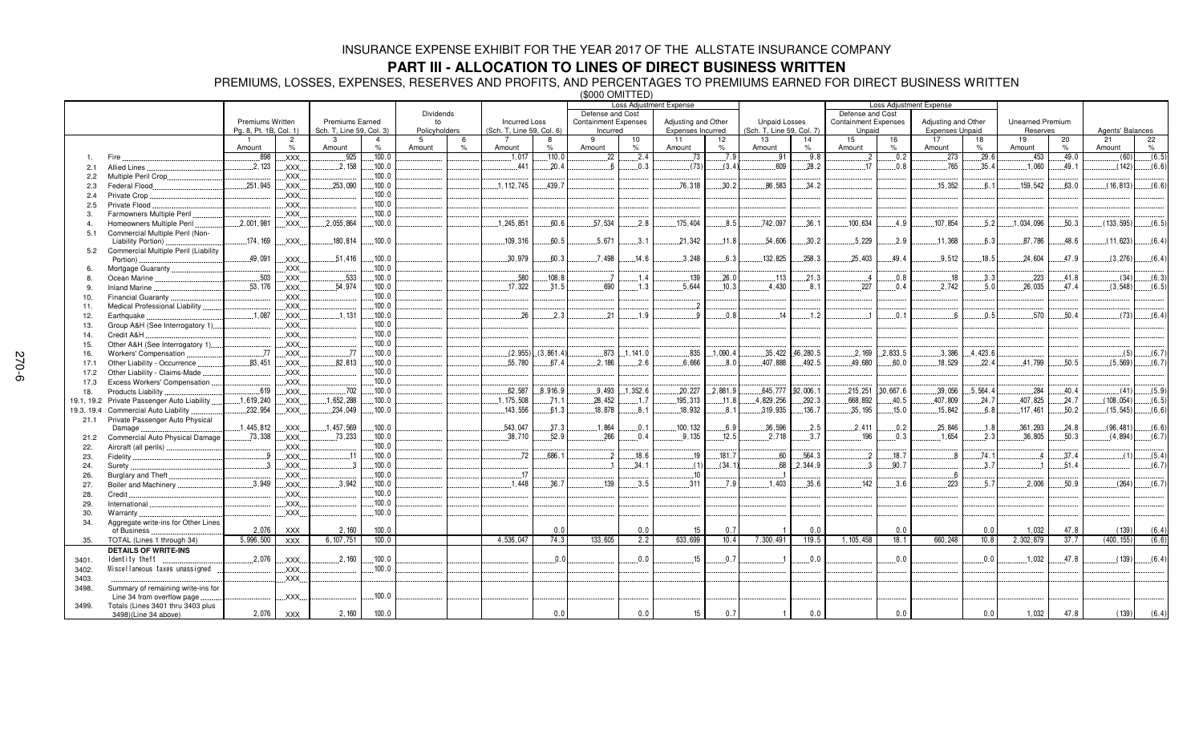## **PART III - ALLOCATION TO LINES OF DIRECT BUSINESS WRITTEN**

PREMIUMS, LOSSES, EXPENSES, RESERVES AND PROFITS, AND PERCENTAGES TO PREMIUMS EARNED FOR DIRECT BUSINESS WRITTEN (\$000 OMITTED)

|            |                                                           |                        |                     |                          |        |               |               |                           |           | Loss Adjustment Expense     |            |                     |                  |                           | <b>Loss Adjustment Expense</b> |                             |           |                        |            |                         |            |                  |         |
|------------|-----------------------------------------------------------|------------------------|---------------------|--------------------------|--------|---------------|---------------|---------------------------|-----------|-----------------------------|------------|---------------------|------------------|---------------------------|--------------------------------|-----------------------------|-----------|------------------------|------------|-------------------------|------------|------------------|---------|
|            |                                                           |                        |                     |                          |        | Dividends     |               | Defense and Cost          |           |                             |            |                     | Defense and Cost |                           |                                |                             |           |                        |            |                         |            |                  |         |
|            |                                                           | Premiums Written       |                     | <b>Premiums Earned</b>   |        | to            |               | <b>Incurred Loss</b>      |           | <b>Containment Expenses</b> |            | Adjusting and Other |                  | <b>Unpaid Losses</b>      |                                | <b>Containment Expenses</b> |           | Adjusting and Other    |            | <b>Unearned Premium</b> |            |                  |         |
|            |                                                           | Pg. 8, Pt. 1B, Col. 1) |                     | Sch. T, Line 59, Col. 3) |        | Policyholders |               | (Sch. T, Line 59, Col. 6) |           | Incurred<br>9               |            | Expenses Incurred   |                  | (Sch. T, Line 59, Col. 7) |                                | Unpaid                      |           | <b>Expenses Unpaid</b> |            | Reserves                |            | Agents' Balances |         |
|            |                                                           | Amount                 | $\overline{2}$<br>% | 3<br>Amount              | $\%$   | 5<br>Amount   | $\frac{9}{6}$ | Amount                    | $\%$      | Amount                      | 10<br>$\%$ | 11<br>Amount        | 12<br>%          | 13<br>Amount              | 14<br>$\%$                     | 15<br>Amount                | 16<br>%   | 17<br>Amount           | 18<br>$\%$ | 19<br>Amount            | 20<br>$\%$ | 21<br>Amount     | 22<br>% |
|            | Fire                                                      | .898                   | XXX.                | .925                     | .100.0 |               |               | .1.017                    | .110.0    | 22                          | 2.4        | .73                 | .7.9             | .91                       | .9.8                           | $\cdot$ 2                   | .0.2      | .273                   | .29.6      | .453                    | .49.0      | (60)             | (6.5)   |
| 2.1        | <b>Allied Lines</b>                                       | 2,123                  | XXX.                | .2.158                   | .100.0 |               |               | .441                      | 20.4      |                             | .0.3       | (73)                | (3.4)            | .609                      | .28.2                          | .17                         | 0.8       | .765                   | .35.4      | .1,060                  | .49.1      | (142)            | (6.6)   |
| 2.2        | Multiple Peril Crop.                                      |                        | XXX.                |                          | 100.0  |               |               |                           |           |                             |            |                     |                  |                           |                                |                             |           |                        |            |                         |            |                  |         |
| 2.3        | Federal Flood                                             | .251.945               | XXX.                | 253.090                  | 100.0  |               |               | 1, 112, 745               | 439.7     |                             |            | 76.318              | 30.2             | 86.583                    | 34.2                           |                             |           | 15.352                 | 6.1        | 159.542                 | 63.0       | (16, 813)        | (6.6)   |
| 2.4        | Private Crop                                              |                        | XXX                 |                          | .100.0 |               |               |                           |           |                             |            |                     |                  |                           |                                |                             |           |                        |            |                         |            |                  |         |
| 2.5        | Private Flood                                             |                        | <b>XXX</b>          |                          | 100.0  |               |               |                           |           |                             |            |                     |                  |                           |                                |                             |           |                        |            |                         |            |                  |         |
| 3.         | Farmowners Multiple Peril                                 |                        | XXX.                |                          | .100.0 |               |               |                           |           |                             |            |                     |                  |                           |                                |                             |           |                        |            |                         |            |                  |         |
|            | Homeowners Multiple Peril                                 | .2,001,981             | XXX.                | .2,055,864               | 100.0  |               |               | 1.245.851                 | 60.6      | 57.534                      | .2.8       | 175.404             | 8.5              | 742.097                   | .36.1                          | 100.634                     | 4.9       | .107.854               | .5.2       | 1.034.096               | .50.3      | (133.595)        | (6.5)   |
| 5.1        | Commercial Multiple Peril (Non-                           |                        |                     |                          |        |               |               |                           |           |                             |            |                     |                  |                           |                                |                             |           |                        |            |                         |            |                  |         |
|            | Liability Portion)                                        | 174.169                | <b>XXX</b>          | 180,814                  | 100.0  |               |               | 109.316                   | 60.5      | .5.671                      | 3.1        | 21.342              | 11.8             | 54.606                    | 30.2                           | 5.229                       | .2.9      | 11,368                 | 6.3        | 87.786                  | 48.6       | (11, 623)        | (6.4)   |
| 5.2        | Commercial Multiple Peril (Liability                      |                        |                     |                          |        |               |               |                           |           |                             |            |                     |                  |                           |                                |                             |           |                        |            |                         |            |                  |         |
|            | Portion)                                                  | .49,091                | XXX.                | .51,416                  | .100.0 |               |               | .30,979                   | 60.3      | .7.498                      | .14.6      | .3.248              | 6.3              | 132.825                   | 258.3                          | 25.403                      | 49.4      | 9.512                  | .18.5      | .24.604                 | 47.9       | (3,276)          | (6.4)   |
| 6.         | Mortgage Guaranty                                         |                        | XXX                 |                          | 100.0  |               |               |                           |           |                             |            |                     |                  |                           |                                |                             |           |                        |            |                         |            |                  |         |
| 8.         | Ocean Marine                                              | 503                    | XXX.                | 533                      | 100.0  |               |               | .580                      | 108.8     |                             | .1.4       | 139                 | 26.0             | 113                       | 21.3                           | $\overline{4}$              | 0.8       | .18                    | 3.3        | 223                     | 41.8       | (34)             | (6.3)   |
| 9.         | <b>Inland Marine</b>                                      | .53,176                | XXX                 | 54,974                   | .100.0 |               |               | 17,322                    | 31.5      | .690                        | .1.3       | .5.644              | 10.3             | 4.430                     | .8.1                           | 227                         | 0.4       | 2,742                  | .5.0       | .26,035                 | 47.4       | (3, 548)         | (6.5)   |
| 10.        | Financial Guaranty                                        |                        | XXX.                |                          | .100.0 |               |               |                           |           |                             |            |                     |                  |                           |                                |                             |           |                        |            |                         |            |                  |         |
| 11.        | Medical Professional Liability.                           |                        | XXX.                |                          | .100.0 |               |               |                           |           |                             |            | 2                   |                  |                           |                                |                             |           |                        |            |                         |            |                  |         |
| 12.        | Earthquake                                                | .1,087                 | XXX.                | 1.131                    | .100.0 |               |               | 26                        | 2.3       | .21                         | .1.9       | <b>Q</b>            | 0.8              | 14                        | .1.2                           |                             | 0.1       | - 6                    | 0.5        | .570                    | 50.4       | (73)             | (6.4)   |
| 13.        | Group A&H (See Interrogatory 1)                           |                        | XXX.                |                          | .100.0 |               |               |                           |           |                             |            |                     |                  |                           |                                |                             |           |                        |            |                         |            |                  |         |
| 14.        | Credit A&H                                                |                        | XXX.                |                          | .100.0 |               |               |                           |           |                             |            |                     |                  |                           |                                |                             |           |                        |            |                         |            |                  |         |
| 15.        | Other A&H (See Interrogatory 1)                           |                        | XXX.                |                          | .100.0 |               |               |                           |           |                             |            |                     |                  |                           |                                |                             |           |                        |            |                         |            |                  |         |
| 16.        | Workers' Compensation                                     | .77                    | XXX.                | 77                       | 100.0  |               |               | (2, 955)                  | (3.861.4) | .873                        | .1,141.0   | .835                | 1.090.4          | 35,422                    | 46.280.5                       | 2.169                       | 2.833.5   | .3.386                 | .4.423.6   |                         |            | (5)              | (6.7)   |
| 17.1       | Other Liability - Occurrence                              | 83,451                 | XXX.                | 82,813                   | .100.0 |               |               | 55,780                    | 67.4      | 2,186                       | .2.6       | .6,666              | 8.0              | 407,888                   | .492.5                         | 49,680                      | .60.0     | .18,529                | .22.4      | 41,799                  | 50.5       | (5, 569)         | (6.7)   |
| 17.2       | Other Liability - Claims-Made                             |                        | XXX.                |                          | 100.0  |               |               |                           |           |                             |            |                     |                  |                           |                                |                             |           |                        |            |                         |            |                  |         |
| 17.3       | Excess Workers' Compensation.                             |                        | XXX.                |                          | .100.0 |               |               |                           |           |                             |            |                     |                  |                           |                                |                             |           |                        |            |                         |            |                  |         |
| 18.        | Products Liability.                                       | .619                   | XXX.                | .702                     | 100.0  |               |               | 62.587                    | 8.916.9   | .9.493                      | 1.352.6    | .20.227             | .2.881.9         | 645.777                   | 92,006.1                       | .215.251                    | .30.667.6 | .39,056                | .5.564.4   | .284                    | .40.4      | (41)             | (5.9)   |
|            | 19.1, 19.2 Private Passenger Auto Liability.              | .1,619,240             | XXX.                | .1,652,288               | .100.0 |               |               | .1, 175, 508              | .71.1     | 28,452                      | .1.7       | 195,313             | .11.8            | 4,829,256                 | .292.3                         | .668,892                    | .40.5     | .407,809               | .24.7      | .407, 825               | .24.7      | (108, 054)       | (6.5)   |
| 19.3, 19.4 | Commercial Auto Liability                                 | .232,954               | XXX.                | .234,049                 | .100.0 |               |               | .143,556                  | .61.3     | .18,878                     | .8.1       | 18,932              | 8.1              | .319,935                  | .136.7                         | .35, 195                    | .15.0     | .15,842                | .6.8       | 117,461                 | .50.2      | (15, 545)        | (6.6)   |
| 21.1       | Private Passenger Auto Physical                           |                        |                     |                          |        |               |               |                           |           |                             |            |                     |                  |                           |                                |                             |           |                        |            |                         |            |                  |         |
|            | Damage                                                    | .1,445,812             | XXX.                | .1,457,569               | .100.0 |               |               | .543,047                  | 37.3      | .1,864                      | .0.1       | 100.132             | 6.9              | 36.596                    | .2.5                           | .2.411                      | .0.2      | 25,846                 | .1.8       | .361,293                | .24.8      | (96, 481)        | (6.6)   |
| 21.2       | Commercial Auto Physical Damage.                          | 73,338                 | XXX.                | .73,233                  | .100.0 |               |               | .38,710                   | 52.9      | .266                        | .0.4       | .9.135              | .12.5            | .2,718                    | 3.7                            | .196                        | .0.3      | .1.654                 | .2.3       | .36,805                 | .50.3      | (4, 894)         | (6.7)   |
| 22.        | Aircraft (all perils)                                     |                        | XXX.                |                          | 100.0  |               |               |                           |           |                             |            |                     |                  |                           |                                |                             |           |                        |            |                         |            |                  |         |
| 23.        | Fidelity                                                  | -9                     | XXX.                | .11                      | .100.0 |               |               | .72                       | 686.1     |                             | .18.6      | .19                 | .181.7           | .60                       | .564.3                         | $\cdot$                     | .18.7     | -8                     | .74.1      |                         | .37.4      | (1)              | (5.4)   |
| 24.        | Surety.                                                   |                        | XXX.                |                          | .100.0 |               |               |                           |           |                             | 34.1       | (1)                 | (34.1)           | 68                        | 2.344.9                        | -3                          | 90.7      |                        | 3.7        |                         | .51.4      |                  | (6.7)   |
| 26.        | Burglary and Theft                                        |                        | XXX                 |                          | 100.0  |               |               | 17                        |           |                             |            | .10                 |                  |                           |                                |                             |           | 6                      |            |                         |            |                  |         |
| 27.        | Boiler and Machinery                                      | 3.949                  | XXX                 | .3.942                   | .100.0 |               |               | 1.448                     | .36.7     | 139                         | 3.5        | 311                 | 7.9              | 1.403                     | 35.6                           | 142                         | 3.6       | 223                    | 5.7        | 2.006                   | 50.9       | (264)            | (6.7)   |
| 28.        | Credit                                                    |                        | <b>XXX</b>          |                          | .100.0 |               |               |                           |           |                             |            |                     |                  |                           |                                |                             |           |                        |            |                         |            |                  |         |
| 29.        | International                                             |                        | XXX.                |                          | .100.0 |               |               |                           |           |                             |            |                     |                  |                           |                                |                             |           |                        |            |                         |            |                  |         |
| 30.        | Warranty                                                  |                        | XXX.                |                          | .100.0 |               |               |                           |           |                             |            |                     |                  |                           |                                |                             |           |                        |            |                         |            |                  |         |
| 34.        | Aggregate write-ins for Other Lines                       |                        |                     | 2.160                    | 100.0  |               |               |                           | 0.0       |                             | 0.0        | 15                  | 0.7              |                           | 0.0                            |                             | 0.0       |                        | 0.0        | 1,032                   | 47.8       | (139)            | (6.4)   |
|            | of Business                                               | 2,076                  | <b>XXX</b>          |                          | 100.0  |               |               | 4.536.047                 |           |                             |            | 633,699             |                  |                           |                                |                             | 18.1      |                        | 10.8       |                         |            |                  |         |
| 35.        | TOTAL (Lines 1 through 34)                                | 5,996,500              | <b>XXX</b>          | 6, 107, 751              |        |               |               |                           | 74.3      | 133,605                     | 2.2        |                     | 10.4             | 7,300,491                 | 119.5                          | 1, 105, 458                 |           | 660,248                |            | 2,302,879               | 37.7       | (400, 155)       | (6.6)   |
|            | <b>DETAILS OF WRITE-INS</b>                               |                        |                     |                          |        |               |               |                           |           |                             |            |                     |                  |                           |                                |                             |           |                        |            |                         |            |                  |         |
| 3401.      | Identity theft                                            | .2,076                 | XXX.                | .2,160                   | .100.0 |               |               |                           | 0.0       |                             | 0.0        | .15                 | 0.7              |                           | .0.0                           |                             | 0.0       |                        | 0.0        | .1,032                  | .47.8      | (139)            | (6.4)   |
| 3402.      | Miscellaneous taxes unassigned                            |                        | XXX.                |                          | .100.0 |               |               |                           |           |                             |            |                     |                  |                           |                                |                             |           |                        |            |                         |            |                  |         |
| 3403.      |                                                           |                        | XXX.                |                          |        |               |               |                           |           |                             |            |                     |                  |                           |                                |                             |           |                        |            |                         |            |                  |         |
| 3498.      | Summary of remaining write-ins for                        |                        | XXX.                |                          | .100.0 |               |               |                           |           |                             |            |                     |                  |                           |                                |                             |           |                        |            |                         |            |                  |         |
|            | Line 34 from overflow page                                |                        |                     |                          |        |               |               |                           |           |                             |            |                     |                  |                           |                                |                             |           |                        |            |                         |            |                  |         |
| 3499.      | Totals (Lines 3401 thru 3403 plus<br>3498)(Line 34 above) | 2,076                  | <b>XXX</b>          | 2,160                    | 100.0  |               |               |                           | 0.0       |                             | 0.0        | 15                  | 0.7              |                           | 0.0                            |                             | 0.0       |                        | 0.0        | 1,032                   | 47.8       | (139)            | (6.4)   |
|            |                                                           |                        |                     |                          |        |               |               |                           |           |                             |            |                     |                  |                           |                                |                             |           |                        |            |                         |            |                  |         |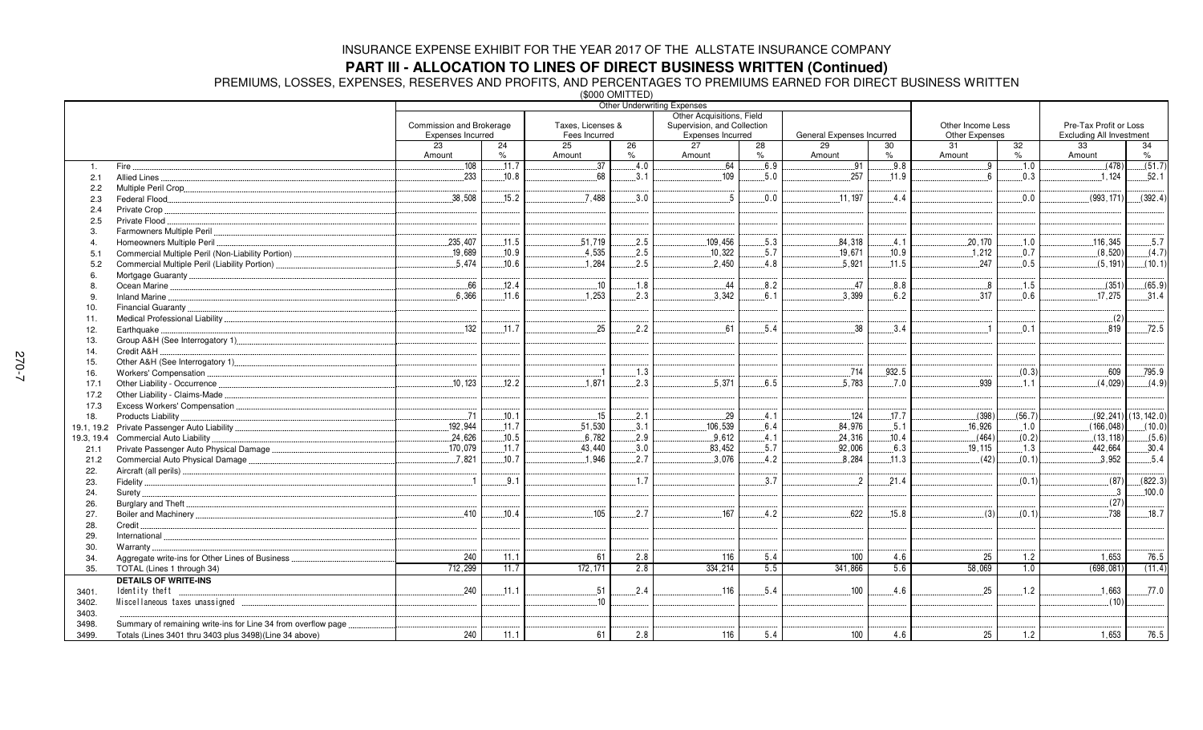**PART III - ALLOCATION TO LINES OF DIRECT BUSINESS WRITTEN (Continued)<br>PREMIUMS, LOSSES, EXPENSES, RESERVES AND PROFITS, AND PERCENTAGES TO PREMIUMS EARNED FOR DIRECT BUSINESS WRITTEN<br>(\$000 OMITTED)** 

|                |                                                                |                          |       |                   | (שטטע) ∪ועור | Other Underwriting Expenses |      |                           |       |                   |        |                                 |                         |  |
|----------------|----------------------------------------------------------------|--------------------------|-------|-------------------|--------------|-----------------------------|------|---------------------------|-------|-------------------|--------|---------------------------------|-------------------------|--|
|                |                                                                |                          |       |                   |              | Other Acquisitions, Field   |      |                           |       |                   |        |                                 |                         |  |
|                |                                                                | Commission and Brokerage |       | Taxes, Licenses & |              | Supervision, and Collection |      |                           |       | Other Income Less |        | Pre-Tax Profit or Loss          |                         |  |
|                |                                                                | Expenses Incurred        |       | Fees Incurred     |              | Expenses Incurred           |      | General Expenses Incurred |       | Other Expenses    |        | <b>Excluding All Investment</b> |                         |  |
|                |                                                                | $\overline{23}$          | 24    | 25                | 26           | $\overline{27}$             | 28   | $\overline{29}$           | 30    | $\overline{31}$   | 32     | 33                              | 34                      |  |
|                |                                                                | Amount                   | %     | Amount            | %            | Amount                      | $\%$ | Amount                    | %     | Amount            | %      | Amount                          | $\%$                    |  |
| $\mathbf{1}$ . | Fire.                                                          | 108                      | 11.7  | 37                | 4.0          | 64                          | 6.9  | .91                       | 9.8   | 9                 | .1.0   | (478)                           | (51.7)                  |  |
| 2.1            | Allied Lines.                                                  | .233                     | .10.8 | .68               | .3.1         | .109                        | .5.0 | .257                      | .11.9 | 6                 | .0.3   | .1,124                          | .52.1                   |  |
| 2.2            |                                                                |                          |       |                   |              |                             |      |                           |       |                   |        |                                 |                         |  |
| 2.3            | Federal Flood                                                  | .38,508                  | .15.2 | .7.488            | 3.0          | 5                           | 0.0  | .11,197                   | .4.4  |                   | 0.0    | (993, 171)                      | (392.4)                 |  |
| 2.4            | Private Crop                                                   |                          |       |                   |              |                             |      |                           |       |                   |        |                                 |                         |  |
| 2.5            | Private Flood.                                                 |                          |       |                   |              |                             |      |                           |       |                   |        |                                 |                         |  |
| 3.             | Farmowners Multiple Peril                                      |                          |       |                   |              |                             |      |                           |       |                   |        |                                 |                         |  |
| 4              | Homeowners Multiple Peril                                      | .235,407                 | .11.5 | .51,719           | 2.5          | .109,456                    | 5.3  | 84,318                    | .4.1  | .20.170           | .1.0   | .116,345                        | .5.7                    |  |
| 5.1            |                                                                | .19,689                  | .10.9 | .4,535            | .2.5         | 10,322                      | .5.7 | .19,671                   | .10.9 | .1.212            | .0.7   | (8,520)                         | (4.7)                   |  |
| 5.2            | Commercial Multiple Peril (Liability Portion)                  | 5.474                    | 10.6  | 1.284             | .2.5         | .2,450                      | .4.8 | .5,921                    | .11.5 | 247               | 0.5    | (5, 191)                        | (10.1)                  |  |
| 6.             |                                                                |                          |       |                   |              |                             |      |                           |       |                   |        |                                 |                         |  |
| 8.             |                                                                | 66                       | .12.4 | .10               | .1.8         | $-44$                       | .8.2 | .47                       | .8.8  | 88                | .1.5   | (351)                           | (65.9)                  |  |
| 9.             |                                                                | 6.366                    | 11.6  | 1.253             | 2.3          | 3.342                       | 6.1  | 3.399                     | 6.2   | .317              | 0.6    | 17.275                          | .31.4                   |  |
| 10.            |                                                                |                          |       |                   |              |                             |      |                           |       |                   |        |                                 |                         |  |
| 11.            |                                                                |                          |       |                   |              |                             |      |                           |       |                   |        | (2)                             |                         |  |
| 12.            | Earthquake                                                     | .132                     | .11.7 | .25               | 2.2          | 61                          | .5.4 | 38                        | .3.4  | $\overline{1}$    | 0.1    | 819                             | .72.5                   |  |
| 13.            |                                                                |                          |       |                   |              |                             |      |                           |       |                   |        |                                 |                         |  |
| 14.            | Credit A&H                                                     |                          |       |                   |              |                             |      |                           |       |                   |        |                                 |                         |  |
| 15.            |                                                                |                          |       |                   |              |                             |      |                           |       |                   |        |                                 |                         |  |
| 16.            |                                                                |                          |       |                   | 1.3          |                             |      | .714                      | 932.5 |                   | (0.3)  | .609                            | .795.9                  |  |
| 17.1           |                                                                | .10.123                  | .12.2 | .1,871            | .2.3         | .5,371                      | .6.5 | 5.783                     | .7.0  | .939              | 1.1    | (4,029)                         | (4.9)                   |  |
| 17.2           | Other Liability - Claims-Made                                  |                          |       |                   |              |                             |      |                           |       |                   |        |                                 |                         |  |
| 17.3           |                                                                |                          |       |                   |              |                             |      |                           |       |                   |        |                                 |                         |  |
| 18.            | Products Liability                                             | .71                      | .10.1 | .15               | .2.1         | .29                         | .4.1 | .124                      | .17.7 | (398)             | (56.7) |                                 | $(92, 241)$ (13, 142.0) |  |
|                |                                                                | 192,944                  | .11.7 | 51,530            | 3.1          | 106,539                     | 6.4  | 84.976                    | .5.1  | .16.926           | .1.0   | (166.048)                       | (10.0)                  |  |
| 19.3, 19.4     | Commercial Auto Liability                                      | .24,626                  | .10.5 | 6,782             | .2.9         | 9,612                       | .4.1 | 24,316                    | .10.4 | (464)             | (0.2)  | (13, 118)                       | (5.6)                   |  |
| 21.1           |                                                                | 170.079                  | .11.7 | .43,440           | 3.0          | .83,452                     | .5.7 | .92,006                   | .6.3  | 19.115            | 1.3    | .442,664                        | .30.4                   |  |
| 21.2           | Commercial Auto Physical Damage                                | .7,821                   | 10.7  | .1.946            | .2.7         | 3,076                       | 4.2  | 8.284                     | .11.3 | (42)              | (0.1)  | .3,952                          | .5.4                    |  |
| 22.            |                                                                |                          |       |                   |              |                             |      |                           |       |                   |        |                                 |                         |  |
| 23.            |                                                                | $\overline{1}$           | 9.1   |                   | 1.7          |                             | 3.7  | $\overline{2}$            | 21.4  |                   | (0.1)  | (87)                            | (822.3)                 |  |
| 24.            |                                                                |                          |       |                   |              |                             |      |                           |       |                   |        | $\cdot$ 3                       | .100.0                  |  |
| 26.            |                                                                |                          |       |                   |              |                             |      |                           |       |                   |        | (27)                            |                         |  |
| 27.            |                                                                | .410                     | 10.4  | .105              | .2.7         | .167                        | .4.2 | 622                       | .15.8 | (3)               | (0.1)  | .738                            | .18.7                   |  |
| 28.            | Credit.                                                        |                          |       |                   |              |                             |      |                           |       |                   |        |                                 |                         |  |
| 29.            | International                                                  |                          |       |                   |              |                             |      |                           |       |                   |        |                                 |                         |  |
| 30.            | Warranty                                                       |                          |       |                   |              |                             |      |                           |       |                   |        |                                 |                         |  |
| 34.            | Aggregate write-ins for Other Lines of Business                | 240                      | 11.1  | 61                | 2.8          | 116                         | 5.4  | 100                       | 4.6   | 25                | 1.2    | 1.653                           | 76.5                    |  |
| 35.            | TOTAL (Lines 1 through 34)                                     | 712,299                  | 11.7  | 172, 171          | 2.8          | 334,214                     | 5.5  | 341,866                   | 5.6   | 58,069            | 1.0    | (698, 081)                      | (11.4)                  |  |
|                | <b>DETAILS OF WRITE-INS</b>                                    |                          |       |                   |              |                             |      |                           |       |                   |        |                                 |                         |  |
| 3401.          | Identity theft                                                 | .240<br>.                | .11.1 | .51               | 2.4          | $.116$                      | 5.4  | 100                       | 4.6   | 25                | .1.2   | 1,663                           | .77.0                   |  |
| 3402.          |                                                                |                          |       | 10                |              |                             |      |                           |       |                   |        | (10)                            |                         |  |
| 3403.          |                                                                |                          |       |                   |              |                             |      |                           |       |                   |        |                                 |                         |  |
| 3498.          | Summary of remaining write-ins for Line 34 from overflow page. |                          |       |                   |              |                             |      |                           |       |                   |        |                                 |                         |  |
| 3499.          | Totals (Lines 3401 thru 3403 plus 3498)(Line 34 above)         | 240                      | 11.1  | 61                | 2.8          | 116                         | 5.4  | 100                       | 4.6   | 25                | 1.2    | 1,653                           | 76.5                    |  |
|                |                                                                |                          |       |                   |              |                             |      |                           |       |                   |        |                                 |                         |  |